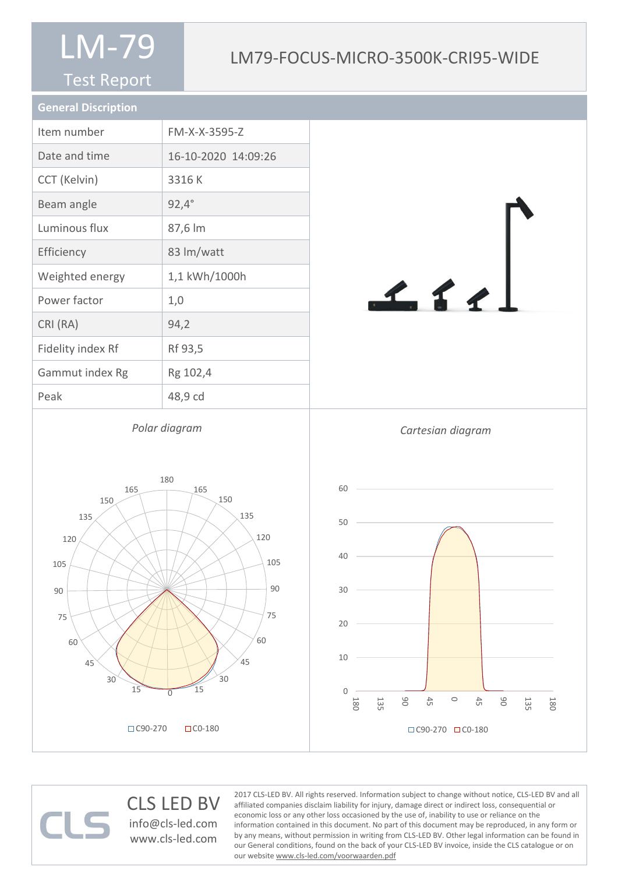#### Test Report

### LM79-FOCUS-MICRO-3500K-CRI95-WIDE

| <b>General Discription</b> |                     |
|----------------------------|---------------------|
| Item number                | FM-X-X-3595-Z       |
| Date and time              | 16-10-2020 14:09:26 |
| CCT (Kelvin)               | 3316K               |
| Beam angle                 | $92,4^{\circ}$      |
| Luminous flux              | 87,6 lm             |
| Efficiency                 | 83 lm/watt          |
| Weighted energy            | 1,1 kWh/1000h       |
| Power factor               | 1,0                 |
| CRI (RA)                   | 94,2                |
| Fidelity index Rf          | Rf 93,5             |
| Gammut index Rg            | Rg 102,4            |
| Peak                       | 48,9 cd             |
|                            |                     |

*Polar diagram*



#### CLS LED BV info@cls-led.com www.cls-led.com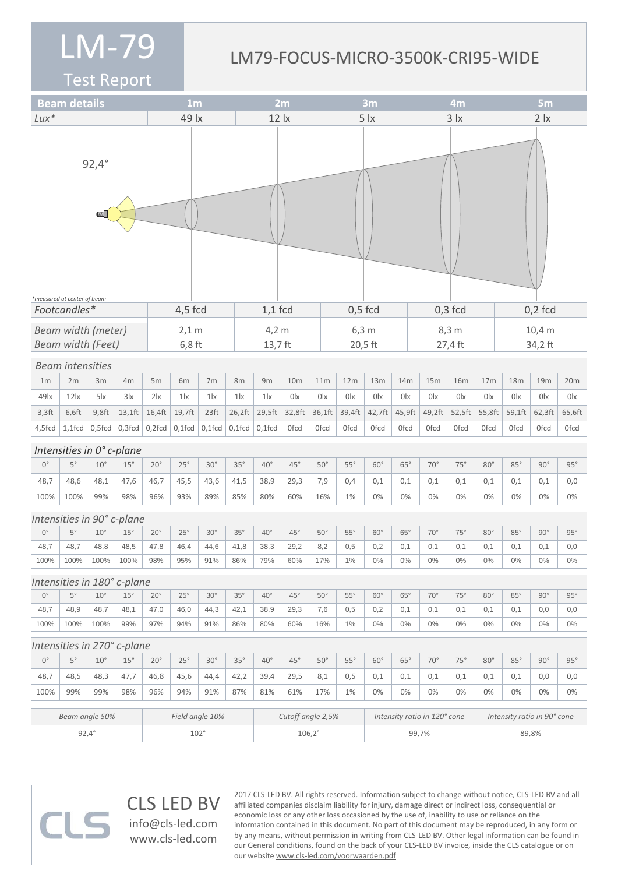#### LM79-FOCUS-MICRO-3500K-CRI95-WIDE

Test Report

|                    | <b>Beam details</b>         |              |                             | 1 <sub>m</sub> |                 |                  | 2m                |                 |                 |  | 3m<br>4m                     |                |             |             | 5m              |                             |                 |             |                |             |
|--------------------|-----------------------------|--------------|-----------------------------|----------------|-----------------|------------------|-------------------|-----------------|-----------------|--|------------------------------|----------------|-------------|-------------|-----------------|-----------------------------|-----------------|-------------|----------------|-------------|
| $Lux*$             |                             |              |                             | 49 lx          |                 |                  | $12 \, \text{lx}$ |                 |                 |  | 5 <i>x</i>                   |                |             | $3 \mid x$  |                 |                             | 2 <sub>x</sub>  |             |                |             |
|                    | *measured at center of beam | $92,4^\circ$ |                             |                |                 |                  |                   |                 |                 |  |                              |                |             |             |                 |                             |                 |             |                |             |
|                    | Footcandles*                |              |                             |                | 4,5 fcd         |                  |                   |                 | $1,1$ fcd       |  | $0,5$ fcd                    |                |             |             |                 | $0,3$ fcd                   |                 | $0,2$ fcd   |                |             |
|                    | <b>Beam width (meter)</b>   |              |                             |                | $2,1$ m         |                  |                   | $4,2 \text{ m}$ |                 |  | 6,3 m                        |                |             |             | $8,3 \text{ m}$ |                             |                 | 10,4 m      |                |             |
|                    | <b>Beam width (Feet)</b>    |              |                             |                | $6,8$ ft        |                  |                   |                 | 13,7 ft         |  |                              | 20,5 ft        |             |             | 27,4 ft         |                             |                 | 34,2 ft     |                |             |
|                    | <b>Beam intensities</b>     |              |                             |                |                 |                  |                   |                 |                 |  |                              |                |             |             |                 |                             |                 |             |                |             |
| 1 <sub>m</sub>     | 2m                          | 3m           | 4m                          | 5m             | 6m              | 7m               | 8m                | 9m              | 10 <sub>m</sub> |  | 11m                          | 12m            | 13m         | 14m         | 15m             | <b>16m</b>                  | 17 <sub>m</sub> | 18m         | 19m            | 20m         |
| 49 <sub>lx</sub>   | 12 <sub>ix</sub>            | $5\text{lx}$ | 3x                          | $2\mathsf{x}$  | $1\text{lx}$    | 1 <sub>x</sub>   | $1\text{lx}$      | $1\text{lx}$    | 0lx             |  | 0lx                          | 0 <sup>1</sup> | 0lx         | 0lx         | 0 <sup>l</sup>  | 0lx                         | 0lx             | 0lx         | 0 <sub>x</sub> | 0lx         |
| $3,3$ ft           | 6,6ft                       | $9,8$ ft     | $13,1$ ft                   | 16,4ft         | 19,7ft          | 23 <sup>ft</sup> | 26,2ft            | 29,5ft          | 32,8ft          |  | 36,1ft                       | 39,4ft         | 42,7ft      | 45,9ft      | 49,2ft          | 52,5ft                      | 55,8ft          | 59,1ft      | 62,3ft         | 65,6ft      |
| 4,5fcd             | $1,1$ fcd                   | $0,5$ fcd    | $0,3$ fcd                   | $0,2$ fcd      | $0,1$ fcd       | $\big $ 0,1fcd   | $0,1$ fcd         | $0,1$ fcd       | Ofcd            |  | <b>Ofcd</b>                  | <b>Ofcd</b>    | <b>Ofcd</b> | <b>Ofcd</b> | 0fcd            | <b>Ofcd</b>                 | Ofcd            | <b>Ofcd</b> | <b>Ofcd</b>    | <b>Ofcd</b> |
|                    |                             |              | Intensities in 0° c-plane   |                |                 |                  |                   |                 |                 |  |                              |                |             |             |                 |                             |                 |             |                |             |
| $0^{\circ}$        | $5^{\circ}$                 | $10^{\circ}$ | 15°                         | $20^{\circ}$   | 25°             | $30^\circ$       | 35°               | $40^{\circ}$    | $45^{\circ}$    |  | $50^\circ$                   | $55^\circ$     | $60^\circ$  | $65^\circ$  | $70^\circ$      | $75^\circ$                  | $80^\circ$      | $85^\circ$  | $90^\circ$     | 95°         |
| 48,7               | 48,6                        | 48,1         | 47,6                        | 46,7           | 45,5            | 43,6             | 41,5              | 38,9            | 29,3            |  | 7,9                          | 0,4            | 0,1         | 0,1         | 0,1             | 0,1                         | 0,1             | 0,1         | 0,1            | 0,0         |
| 100%               | 100%                        | 99%          | 98%                         | 96%            | 93%             | 89%              | 85%               | 80%             | 60%             |  | 16%                          | 1%             | 0%          | 0%          | 0%              | 0%                          | 0%              | 0%          | 0%             | 0%          |
|                    |                             |              | Intensities in 90° c-plane  |                |                 |                  |                   |                 |                 |  |                              |                |             |             |                 |                             |                 |             |                |             |
| $0^{\circ}$        | $5^{\circ}$                 | $10^{\circ}$ | $15^{\circ}$                | $20^{\circ}$   | $25^{\circ}$    | $30^\circ$       | $35^\circ$        | $40^{\circ}$    | $45^{\circ}$    |  | $50^\circ$                   | $55^{\circ}$   | $60^\circ$  | $65^\circ$  | $70^{\circ}$    | $75^{\circ}$                | $80^\circ$      | $85^\circ$  | $90^\circ$     | $95^\circ$  |
| 48,7               | 48,7                        | 48,8         | 48,5                        | 47,8           | 46,4            | 44,6             | 41,8              | 38,3            | 29,2            |  | 8,2                          | 0,5            | 0,2         | 0,1         | 0,1             | 0,1                         | 0,1             | 0,1         | 0,1            | 0,0         |
| 100%               | 100%                        | 100%         | 100%                        | 98%            | 95%             | 91%              | 86%               | 79%             | 60%             |  | 17%                          | 1%             | 0%          | $0\%$       | $0\%$           | $0\%$                       | $0\%$           | $0\%$       | 0%             | $0\%$       |
|                    |                             |              | Intensities in 180° c-plane |                |                 |                  |                   |                 |                 |  |                              |                |             |             |                 |                             |                 |             |                |             |
| $0^{\circ}$        | $5^{\circ}$                 | $10^{\circ}$ | $15^{\circ}$                | $20^{\circ}$   | $25^{\circ}$    | $30^\circ$       | $35^{\circ}$      | $40^{\circ}$    | $45^{\circ}$    |  | $50^\circ$                   | $55^{\circ}$   | $60^\circ$  | $65^\circ$  | $70^{\circ}$    | $75^{\circ}$                | $80^\circ$      | $85^\circ$  | $90^{\circ}$   | $95^\circ$  |
| 48,7               | 48,9                        | 48,7         | 48,1                        | 47,0           | 46,0            | 44,3             | 42,1              | 38,9            | 29,3            |  | 7,6                          | 0,5            | 0,2         | 0,1         | 0,1             | 0,1                         | 0,1             | 0,1         | 0,0            | 0,0         |
| 100%               | 100%                        | 100%         | 99%                         | 97%            | 94%             | 91%              | 86%               | 80%             | 60%             |  | 16%                          | 1%             | $0\%$       | $0\%$       | $0\%$           | $0\%$                       | $0\%$           | $0\%$       | $0\%$          | $0\%$       |
|                    |                             |              | Intensities in 270° c-plane |                |                 |                  |                   |                 |                 |  |                              |                |             |             |                 |                             |                 |             |                |             |
| $\mathbb{O}^\circ$ | $5^{\circ}$                 | $10^{\circ}$ | 15°                         | $20^{\circ}$   | $25^\circ$      | $30^\circ$       | $35^\circ$        | $40^{\circ}$    | $45^{\circ}$    |  | $50^\circ$                   | $55^\circ$     | $60^\circ$  | $65^\circ$  | $70^{\circ}$    | 75°                         | $80^\circ$      | $85^\circ$  | $90^\circ$     | 95°         |
| 48,7               | 48,5                        | 48,3         | 47,7                        | 46,8           | 45,6            | 44,4             | 42,2              | 39,4            | 29,5            |  | 8,1                          | 0,5            | 0,1         | 0,1         | 0,1             | 0,1                         | 0,1             | 0,1         | 0,0            | 0,0         |
| 100%               | 99%                         | 99%          | 98%                         | 96%            | 94%             | 91%              | 87%               | 81%             | 61%             |  | 17%                          | 1%             | 0%          | 0%          | 0%              | 0%                          | $0\%$           | 0%          | 0%             | 0%          |
| Beam angle 50%     |                             |              |                             |                | Field angle 10% |                  | Cutoff angle 2,5% |                 |                 |  | Intensity ratio in 120° cone |                |             |             |                 | Intensity ratio in 90° cone |                 |             |                |             |
| $92,4^{\circ}$     |                             |              |                             | $102^\circ$    |                 |                  |                   | $106,2^{\circ}$ |                 |  |                              | 99,7%          |             |             |                 | 89,8%                       |                 |             |                |             |

CLS LED BV  $\Box$ info@cls-led.com www.cls-led.com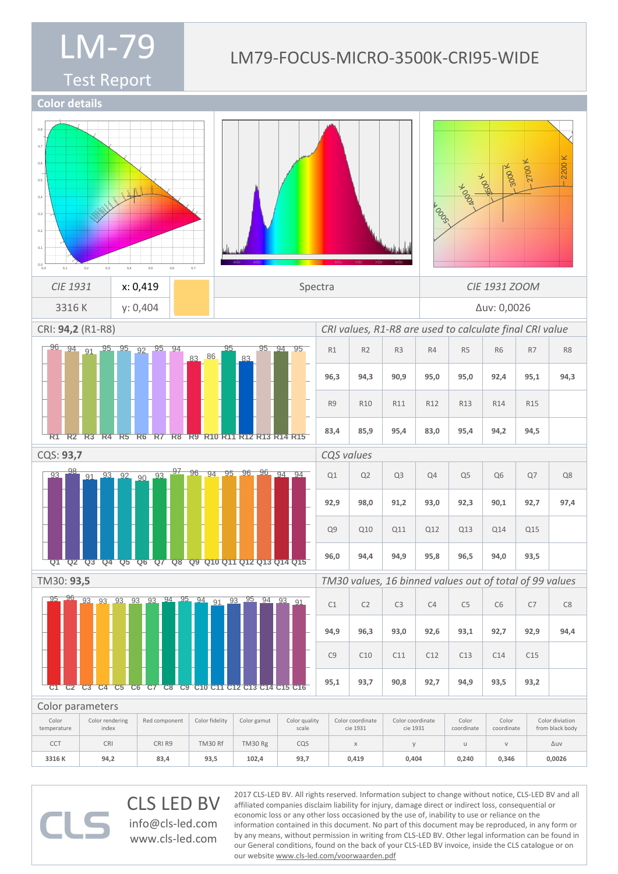### Test Report

#### LM79-FOCUS-MICRO-3500K-CRI95-WIDE

**Color details**



CLS LED BV info@cls-led.com www.cls-led.com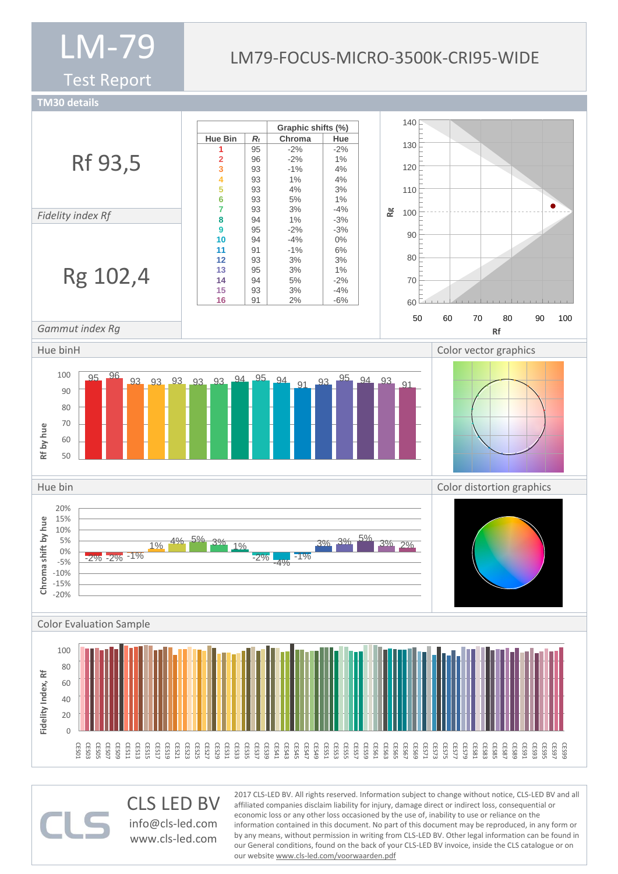Test Report

#### LM79-FOCUS-MICRO-3500K-CRI95-WIDE

**TM30 details**



CLS LED BV info@cls-led.com www.cls-led.com